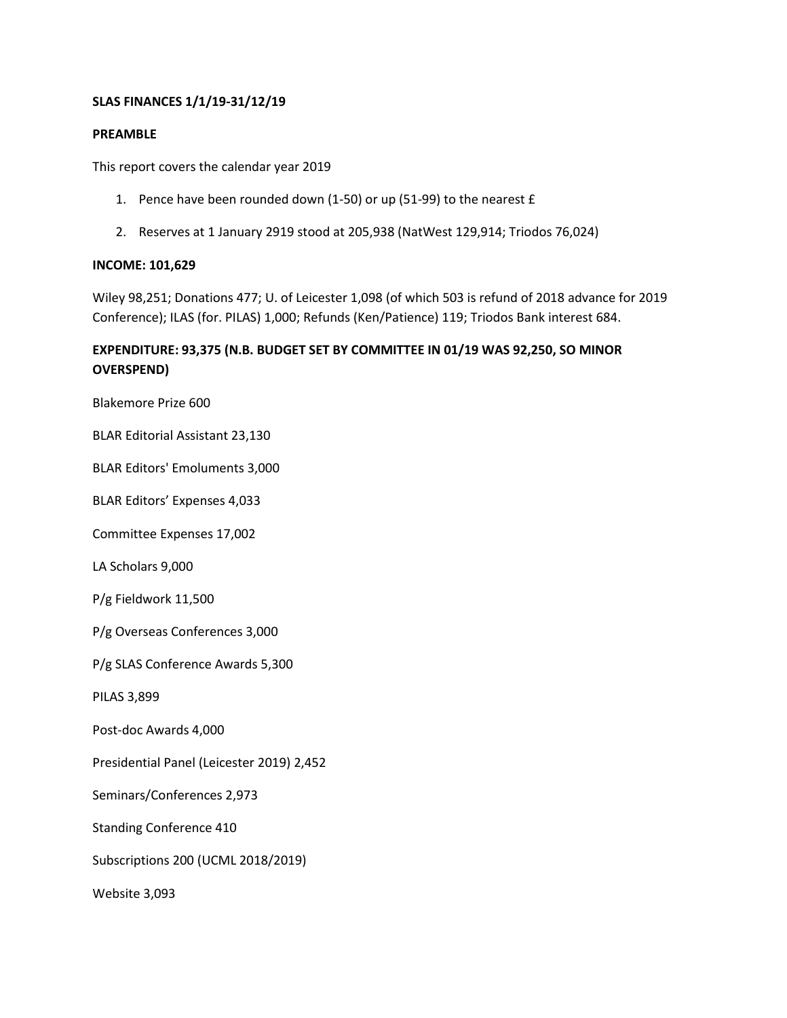## **SLAS FINANCES 1/1/19-31/12/19**

#### **PREAMBLE**

This report covers the calendar year 2019

- 1. Pence have been rounded down (1-50) or up (51-99) to the nearest £
- 2. Reserves at 1 January 2919 stood at 205,938 (NatWest 129,914; Triodos 76,024)

#### **INCOME: 101,629**

Wiley 98,251; Donations 477; U. of Leicester 1,098 (of which 503 is refund of 2018 advance for 2019 Conference); ILAS (for. PILAS) 1,000; Refunds (Ken/Patience) 119; Triodos Bank interest 684.

# **EXPENDITURE: 93,375 (N.B. BUDGET SET BY COMMITTEE IN 01/19 WAS 92,250, SO MINOR OVERSPEND)**

Blakemore Prize 600

BLAR Editorial Assistant 23,130

BLAR Editors' Emoluments 3,000

BLAR Editors' Expenses 4,033

Committee Expenses 17,002

LA Scholars 9,000

P/g Fieldwork 11,500

P/g Overseas Conferences 3,000

P/g SLAS Conference Awards 5,300

PILAS 3,899

Post-doc Awards 4,000

Presidential Panel (Leicester 2019) 2,452

Seminars/Conferences 2,973

Standing Conference 410

Subscriptions 200 (UCML 2018/2019)

Website 3,093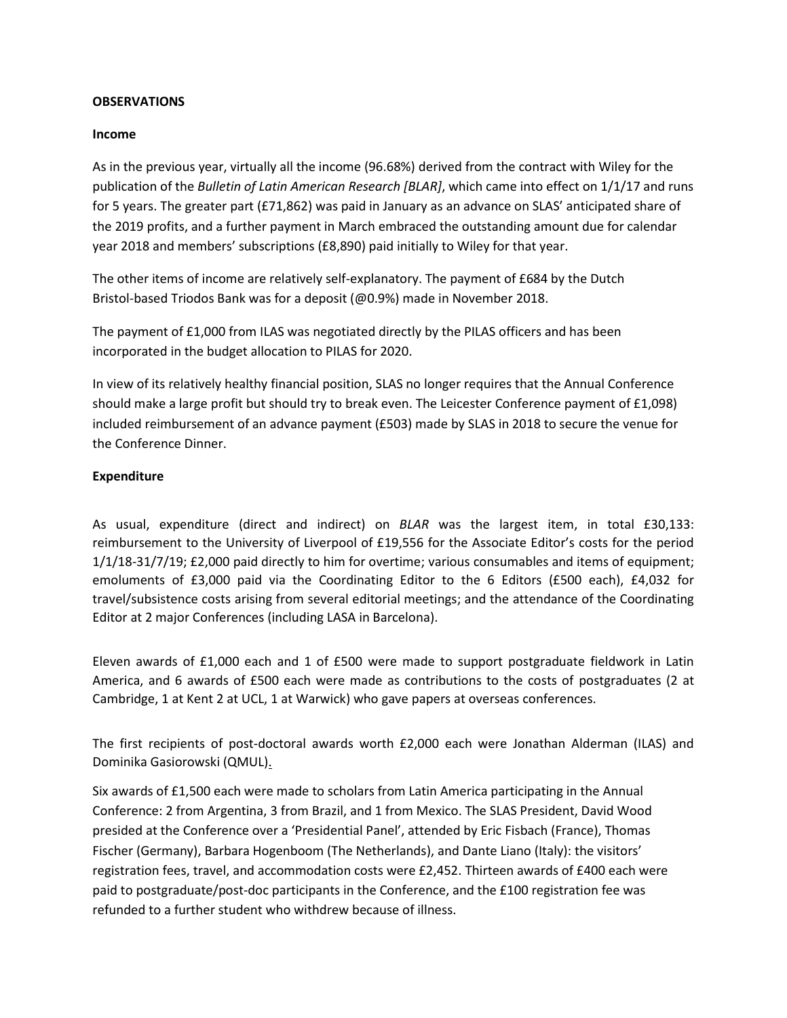#### **OBSERVATIONS**

#### **Income**

As in the previous year, virtually all the income (96.68%) derived from the contract with Wiley for the publication of the *Bulletin of Latin American Research [BLAR]*, which came into effect on 1/1/17 and runs for 5 years. The greater part (£71,862) was paid in January as an advance on SLAS' anticipated share of the 2019 profits, and a further payment in March embraced the outstanding amount due for calendar year 2018 and members' subscriptions (£8,890) paid initially to Wiley for that year.

The other items of income are relatively self-explanatory. The payment of £684 by the Dutch Bristol-based Triodos Bank was for a deposit (@0.9%) made in November 2018.

The payment of £1,000 from ILAS was negotiated directly by the PILAS officers and has been incorporated in the budget allocation to PILAS for 2020.

In view of its relatively healthy financial position, SLAS no longer requires that the Annual Conference should make a large profit but should try to break even. The Leicester Conference payment of £1,098) included reimbursement of an advance payment (£503) made by SLAS in 2018 to secure the venue for the Conference Dinner.

#### **Expenditure**

As usual, expenditure (direct and indirect) on *BLAR* was the largest item, in total £30,133: reimbursement to the University of Liverpool of £19,556 for the Associate Editor's costs for the period 1/1/18-31/7/19; £2,000 paid directly to him for overtime; various consumables and items of equipment; emoluments of £3,000 paid via the Coordinating Editor to the 6 Editors (£500 each), £4,032 for travel/subsistence costs arising from several editorial meetings; and the attendance of the Coordinating Editor at 2 major Conferences (including LASA in Barcelona).

Eleven awards of £1,000 each and 1 of £500 were made to support postgraduate fieldwork in Latin America, and 6 awards of £500 each were made as contributions to the costs of postgraduates (2 at Cambridge, 1 at Kent 2 at UCL, 1 at Warwick) who gave papers at overseas conferences.

The first recipients of post-doctoral awards worth £2,000 each were Jonathan Alderman (ILAS) and Dominika Gasiorowski (QMUL).

Six awards of £1,500 each were made to scholars from Latin America participating in the Annual Conference: 2 from Argentina, 3 from Brazil, and 1 from Mexico. The SLAS President, David Wood presided at the Conference over a 'Presidential Panel', attended by Eric Fisbach (France), Thomas Fischer (Germany), Barbara Hogenboom (The Netherlands), and Dante Liano (Italy): the visitors' registration fees, travel, and accommodation costs were £2,452. Thirteen awards of £400 each were paid to postgraduate/post-doc participants in the Conference, and the £100 registration fee was refunded to a further student who withdrew because of illness.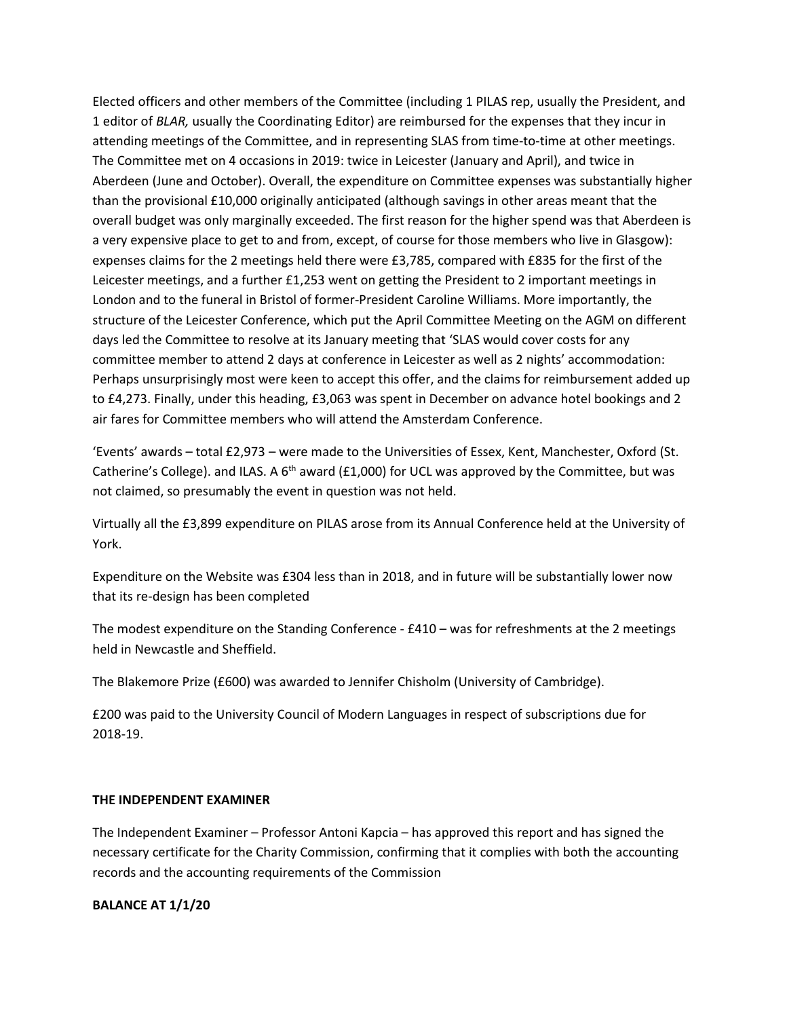Elected officers and other members of the Committee (including 1 PILAS rep, usually the President, and 1 editor of *BLAR,* usually the Coordinating Editor) are reimbursed for the expenses that they incur in attending meetings of the Committee, and in representing SLAS from time-to-time at other meetings. The Committee met on 4 occasions in 2019: twice in Leicester (January and April), and twice in Aberdeen (June and October). Overall, the expenditure on Committee expenses was substantially higher than the provisional £10,000 originally anticipated (although savings in other areas meant that the overall budget was only marginally exceeded. The first reason for the higher spend was that Aberdeen is a very expensive place to get to and from, except, of course for those members who live in Glasgow): expenses claims for the 2 meetings held there were £3,785, compared with £835 for the first of the Leicester meetings, and a further £1,253 went on getting the President to 2 important meetings in London and to the funeral in Bristol of former-President Caroline Williams. More importantly, the structure of the Leicester Conference, which put the April Committee Meeting on the AGM on different days led the Committee to resolve at its January meeting that 'SLAS would cover costs for any committee member to attend 2 days at conference in Leicester as well as 2 nights' accommodation: Perhaps unsurprisingly most were keen to accept this offer, and the claims for reimbursement added up to £4,273. Finally, under this heading, £3,063 was spent in December on advance hotel bookings and 2 air fares for Committee members who will attend the Amsterdam Conference.

'Events' awards – total £2,973 – were made to the Universities of Essex, Kent, Manchester, Oxford (St. Catherine's College). and ILAS. A  $6<sup>th</sup>$  award (£1,000) for UCL was approved by the Committee, but was not claimed, so presumably the event in question was not held.

Virtually all the £3,899 expenditure on PILAS arose from its Annual Conference held at the University of York.

Expenditure on the Website was £304 less than in 2018, and in future will be substantially lower now that its re-design has been completed

The modest expenditure on the Standing Conference - £410 – was for refreshments at the 2 meetings held in Newcastle and Sheffield.

The Blakemore Prize (£600) was awarded to Jennifer Chisholm (University of Cambridge).

£200 was paid to the University Council of Modern Languages in respect of subscriptions due for 2018-19.

## **THE INDEPENDENT EXAMINER**

The Independent Examiner – Professor Antoni Kapcia – has approved this report and has signed the necessary certificate for the Charity Commission, confirming that it complies with both the accounting records and the accounting requirements of the Commission

## **BALANCE AT 1/1/20**